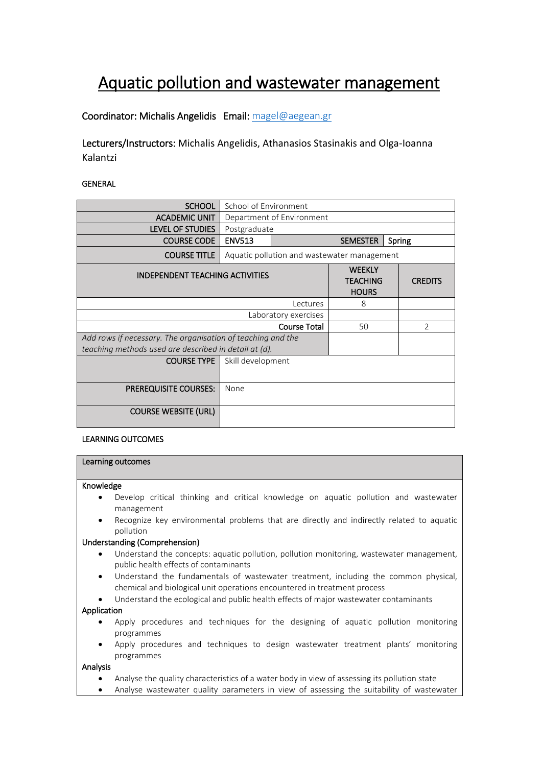# Aquatic pollution and wastewater management

# Coordinator: Michalis Angelidis Email[: magel@aegean.gr](mailto:magel@aegean.gr)

Lecturers/Instructors: Michalis Angelidis, Athanasios Stasinakis and Olga-Ioanna Kalantzi

# GENERAL

| <b>SCHOOL</b>                                               | School of Environment                       |                                                  |    |                |                |
|-------------------------------------------------------------|---------------------------------------------|--------------------------------------------------|----|----------------|----------------|
| <b>ACADEMIC UNIT</b>                                        | Department of Environment                   |                                                  |    |                |                |
| <b>LEVEL OF STUDIES</b>                                     | Postgraduate                                |                                                  |    |                |                |
| <b>COURSE CODE</b>                                          | <b>ENV513</b>                               | <b>SEMESTER</b><br>Spring                        |    |                |                |
| <b>COURSE TITLE</b>                                         | Aquatic pollution and wastewater management |                                                  |    |                |                |
| <b>INDEPENDENT TEACHING ACTIVITIES</b>                      |                                             | <b>WEEKLY</b><br><b>TEACHING</b><br><b>HOURS</b> |    | <b>CREDITS</b> |                |
| Lectures                                                    |                                             |                                                  | 8  |                |                |
| Laboratory exercises                                        |                                             |                                                  |    |                |                |
| <b>Course Total</b>                                         |                                             |                                                  | 50 |                | $\mathfrak{D}$ |
| Add rows if necessary. The organisation of teaching and the |                                             |                                                  |    |                |                |
| teaching methods used are described in detail at (d).       |                                             |                                                  |    |                |                |
| <b>COURSE TYPE</b>                                          | Skill development                           |                                                  |    |                |                |
| <b>PREREQUISITE COURSES:</b>                                | None                                        |                                                  |    |                |                |
| <b>COURSE WEBSITE (URL)</b>                                 |                                             |                                                  |    |                |                |

## LEARNING OUTCOMES

# Learning outcomes

#### Knowledge

- Develop critical thinking and critical knowledge on aquatic pollution and wastewater management
- Recognize key environmental problems that are directly and indirectly related to aquatic pollution

## Understanding (Comprehension)

- Understand the concepts: aquatic pollution, pollution monitoring, wastewater management, public health effects of contaminants
- Understand the fundamentals of wastewater treatment, including the common physical, chemical and biological unit operations encountered in treatment process
- Understand the ecological and public health effects of major wastewater contaminants

#### Application

- Apply procedures and techniques for the designing of aquatic pollution monitoring programmes
- Apply procedures and techniques to design wastewater treatment plants' monitoring programmes

#### Analysis

- Analyse the quality characteristics of a water body in view of assessing its pollution state
- Analyse wastewater quality parameters in view of assessing the suitability of wastewater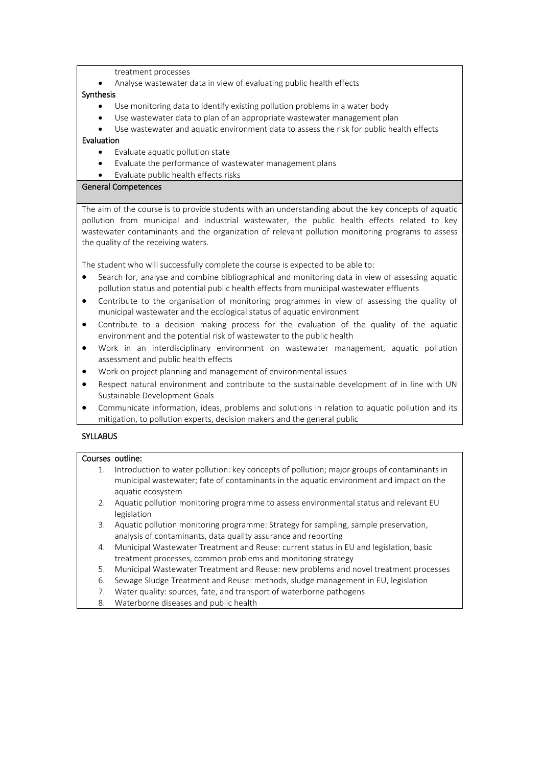treatment processes

Analyse wastewater data in view of evaluating public health effects

#### Synthesis

- Use monitoring data to identify existing pollution problems in a water body
- Use wastewater data to plan of an appropriate wastewater management plan
- Use wastewater and aquatic environment data to assess the risk for public health effects

## Evaluation

- Evaluate aquatic pollution state
- Evaluate the performance of wastewater management plans
- Evaluate public health effects risks

## General Competences

The aim of the course is to provide students with an understanding about the key concepts of aquatic pollution from municipal and industrial wastewater, the public health effects related to key wastewater contaminants and the organization of relevant pollution monitoring programs to assess the quality of the receiving waters.

The student who will successfully complete the course is expected to be able to:

- Search for, analyse and combine bibliographical and monitoring data in view of assessing aquatic pollution status and potential public health effects from municipal wastewater effluents
- Contribute to the organisation of monitoring programmes in view of assessing the quality of municipal wastewater and the ecological status of aquatic environment
- Contribute to a decision making process for the evaluation of the quality of the aquatic environment and the potential risk of wastewater to the public health
- Work in an interdisciplinary environment on wastewater management, aquatic pollution assessment and public health effects
- Work on project planning and management of environmental issues
- Respect natural environment and contribute to the sustainable development of in line with UN Sustainable Development Goals
- Communicate information, ideas, problems and solutions in relation to aquatic pollution and its mitigation, to pollution experts, decision makers and the general public

# **SYLLABUS**

## Courses outline:

- 1. Introduction to water pollution: key concepts of pollution; major groups of contaminants in municipal wastewater; fate of contaminants in the aquatic environment and impact on the aquatic ecosystem
- 2. Aquatic pollution monitoring programme to assess environmental status and relevant EU legislation
- 3. Aquatic pollution monitoring programme: Strategy for sampling, sample preservation, analysis of contaminants, data quality assurance and reporting
- 4. Municipal Wastewater Treatment and Reuse: current status in EU and legislation, basic treatment processes, common problems and monitoring strategy
- 5. Municipal Wastewater Treatment and Reuse: new problems and novel treatment processes
- 6. Sewage Sludge Treatment and Reuse: methods, sludge management in EU, legislation
- 7. Water quality: sources, fate, and transport of waterborne pathogens
- 8. Waterborne diseases and public health